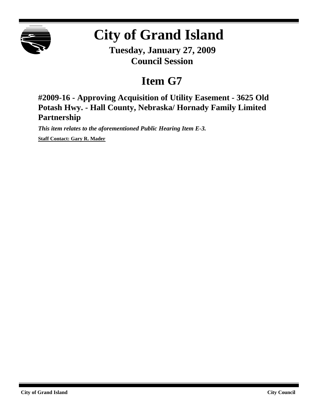

## **City of Grand Island**

**Tuesday, January 27, 2009 Council Session**

## **Item G7**

**#2009-16 - Approving Acquisition of Utility Easement - 3625 Old Potash Hwy. - Hall County, Nebraska/ Hornady Family Limited Partnership**

*This item relates to the aforementioned Public Hearing Item E-3.*

**Staff Contact: Gary R. Mader**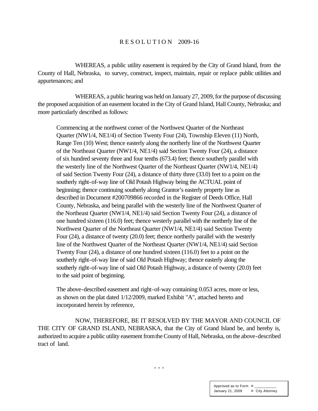## R E S O L U T I O N 2009-16

WHEREAS, a public utility easement is required by the City of Grand Island, from the County of Hall, Nebraska, to survey, construct, inspect, maintain, repair or replace public utilities and appurtenances; and

WHEREAS, a public hearing was held on January 27, 2009, for the purpose of discussing the proposed acquisition of an easement located in the City of Grand Island, Hall County, Nebraska; and more particularly described as follows:

Commencing at the northwest corner of the Northwest Quarter of the Northeast Quarter (NW1/4, NE1/4) of Section Twenty Four (24), Township Eleven (11) North, Range Ten (10) West; thence easterly along the northerly line of the Northwest Quarter of the Northeast Quarter (NW1/4, NE1/4) said Section Twenty Four (24), a distance of six hundred seventy three and four tenths (673.4) feet; thence southerly parallel with the westerly line of the Northwest Quarter of the Northeast Quarter (NW1/4, NE1/4) of said Section Twenty Four (24), a distance of thirty three (33.0) feet to a point on the southerly right-of-way line of Old Potash Highway being the ACTUAL point of beginning; thence continuing southerly along Grantor's easterly property line as described in Document #200709866 recorded in the Register of Deeds Office, Hall County, Nebraska, and being parallel with the westerly line of the Northwest Quarter of the Northeast Quarter (NW1/4, NE1/4) said Section Twenty Four (24), a distance of one hundred sixteen (116.0) feet; thence westerly parallel with the northerly line of the Northwest Quarter of the Northeast Quarter (NW1/4, NE1/4) said Section Twenty Four (24), a distance of twenty (20.0) feet; thence northerly parallel with the westerly line of the Northwest Quarter of the Northeast Quarter (NW1/4, NE1/4) said Section Twenty Four (24), a distance of one hundred sixteen (116.0) feet to a point on the southerly right-of-way line of said Old Potash Highway; thence easterly along the southerly right-of-way line of said Old Potash Highway, a distance of twenty (20.0) feet to the said point of beginning.

The above-described easement and right-of-way containing 0.053 acres, more or less, as shown on the plat dated 1/12/2009, marked Exhibit "A", attached hereto and incorporated herein by reference,

NOW, THEREFORE, BE IT RESOLVED BY THE MAYOR AND COUNCIL OF THE CITY OF GRAND ISLAND, NEBRASKA, that the City of Grand Island be, and hereby is, authorized to acquire a public utility easement fromthe County of Hall, Nebraska, on the above-described tract of land.

- - -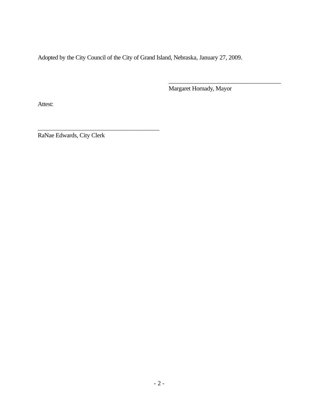Adopted by the City Council of the City of Grand Island, Nebraska, January 27, 2009.

Margaret Hornady, Mayor

\_\_\_\_\_\_\_\_\_\_\_\_\_\_\_\_\_\_\_\_\_\_\_\_\_\_\_\_\_\_\_\_\_\_\_\_\_\_\_

Attest:

RaNae Edwards, City Clerk

\_\_\_\_\_\_\_\_\_\_\_\_\_\_\_\_\_\_\_\_\_\_\_\_\_\_\_\_\_\_\_\_\_\_\_\_\_\_\_